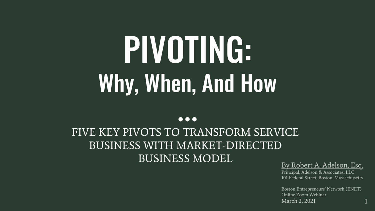## PIVOTING: Why, When, And How

#### $\bullet\bullet\bullet$

#### FIVE KEY PIVOTS TO TRANSFORM SERVICE BUSINESS WITH MARKET-DIRECTED BUSINESS MODEL

#### By Robert A. Adelson, Esq.

Principal, Adelson & Associates, LLC 101 Federal Street, Boston, Massachusetts

Boston Entrepreneurs' Network (ENET) Online Zoom Webinar March 2, 2021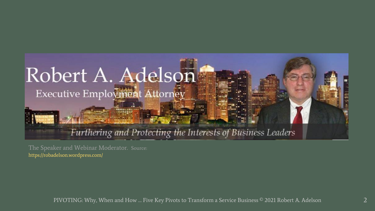#### Robert A. Adelson Executive Employment Attorney

#### Furthering and Protecting the Interests of Business Leaders

The Speaker and Webinar Moderator. Source: <https://robadelson.wordpress.com/>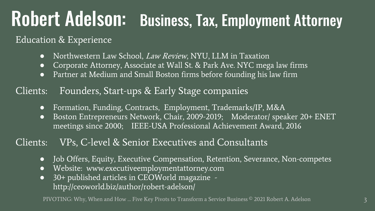### Robert Adelson: Business, Tax, Employment Attorney

#### Education & Experience

- Northwestern Law School, *Law Review*, NYU, LLM in Taxation
- Corporate Attorney, Associate at Wall St. & Park Ave. NYC mega law firms
- Partner at Medium and Small Boston firms before founding his law firm

#### Clients: Founders, Start-ups & Early Stage companies

- Formation, Funding, Contracts, Employment, Trademarks/IP, M&A
- Boston Entrepreneurs Network, Chair, 2009-2019; Moderator/ speaker 20+ ENET meetings since 2000; IEEE-USA Professional Achievement Award, 2016

#### Clients: VPs, C-level & Senior Executives and Consultants

- Job Offers, Equity, Executive Compensation, Retention, Severance, Non-competes
- Website: www.executiveemploymentattorney.com
- 30+ published articles in CEOWorld magazine http://ceoworld.biz/author/robert-adelson/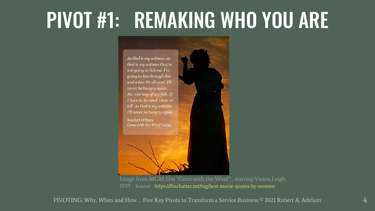### PIVOT #1: REMAKING WHO YOU ARE



1939 . Source - [https://flixchatter.net/tag/best-movie-quotes-by-women](https://flixchatter.net/tag/best-movie-quotes-by-women/)[/](https://flixchatter.net/tag/best-movie-quotes-by-women/)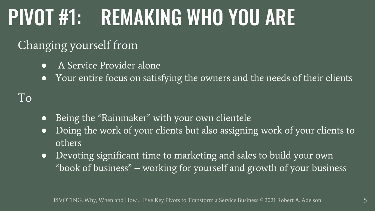### PIVOT #1: REMAKING WHO YOU ARE

#### Changing yourself from

- A Service Provider alone
- Your entire focus on satisfying the owners and the needs of their clients

- Being the "Rainmaker" with your own clientele
- Doing the work of your clients but also assigning work of your clients to others
- Devoting significant time to marketing and sales to build your own "book of business" – working for yourself and growth of your business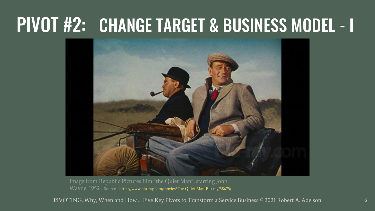### PIVOT #2: CHANGE TARGET & BUSINESS MODEL - I



Image from Republic Pictures film "the Quiet Man", starring John Wayne, 1952 . Source - <https://www.blu-ray.com/movies/The-Quiet-Man-Blu-ray/58675/>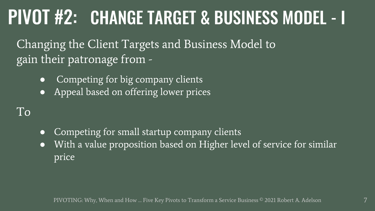### PIVOT #2: CHANGE TARGET & BUSINESS MODEL - I

Changing the Client Targets and Business Model to gain their patronage from -

- Competing for big company clients
- Appeal based on offering lower prices

- Competing for small startup company clients
- With a value proposition based on Higher level of service for similar price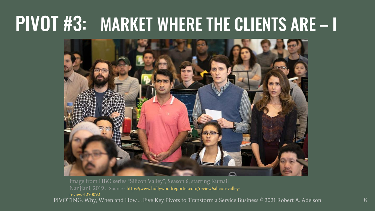### PIVOT #3: MARKET WHERE THE CLIENTS ARE – I



PIVOTING: Why, When and How … Five Key Pivots to Transform a Service Business © 2021 Robert A. Adelson Nanjiani, 2019 . Source - [https://www.hollywoodreporter.com/review/silicon-valley](https://www.hollywoodreporter.com/review/silicon-valley-review-1250092)review-1250092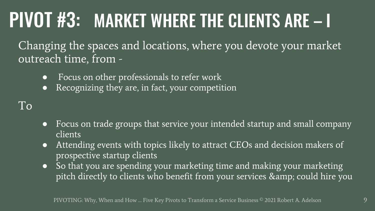### PIVOT #3: MARKET WHERE THE CLIENTS ARE – I

Changing the spaces and locations, where you devote your market outreach time, from -

- Focus on other professionals to refer work
- Recognizing they are, in fact, your competition

- Focus on trade groups that service your intended startup and small company clients
- Attending events with topics likely to attract CEOs and decision makers of prospective startup clients
- So that you are spending your marketing time and making your marketing pitch directly to clients who benefit from your services & amp; could hire you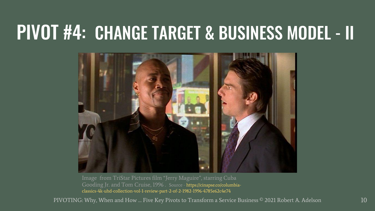#### PIVOT #4: CHANGE TARGET & BUSINESS MODEL - II



Gooding Jr. and Tom Cruise, 1996 . Source - https://cinapse.co/columbia[classics-4k-uhd-collection-vol-1-review-part-2-of-2-1982-1996-4785e62c4e74](https://cinapse.co/columbia-classics-4k-uhd-collection-vol-1-review-part-2-of-2-1982-1996-4785e62c4e74)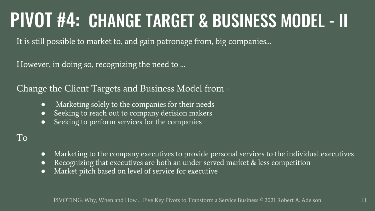### PIVOT #4: CHANGE TARGET & BUSINESS MODEL - II

It is still possible to market to, and gain patronage from, big companies…

However, in doing so, recognizing the need to …

Change the Client Targets and Business Model from -

- Marketing solely to the companies for their needs
- Seeking to reach out to company decision makers
- Seeking to perform services for the companies

- Marketing to the company executives to provide personal services to the individual executives
- Recognizing that executives are both an under served market & less competition
- Market pitch based on level of service for executive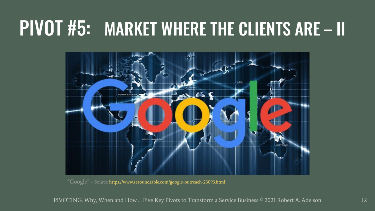### PIVOT #5: MARKET WHERE THE CLIENTS ARE – II



"Google" – Source<https://www.seroundtable.com/google-outreach-23093.html>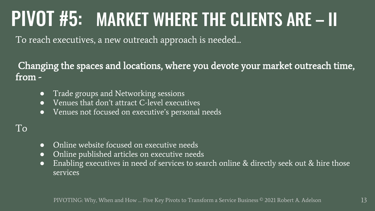### PIVOT #5: MARKET WHERE THE CLIENTS ARE – II

To reach executives, a new outreach approach is needed...

Changing the spaces and locations, where you devote your market outreach time, from -

- Trade groups and Networking sessions
- Venues that don't attract C-level executives
- Venues not focused on executive's personal needs

- Online website focused on executive needs
- Online published articles on executive needs
- Enabling executives in need of services to search online & directly seek out & hire those services